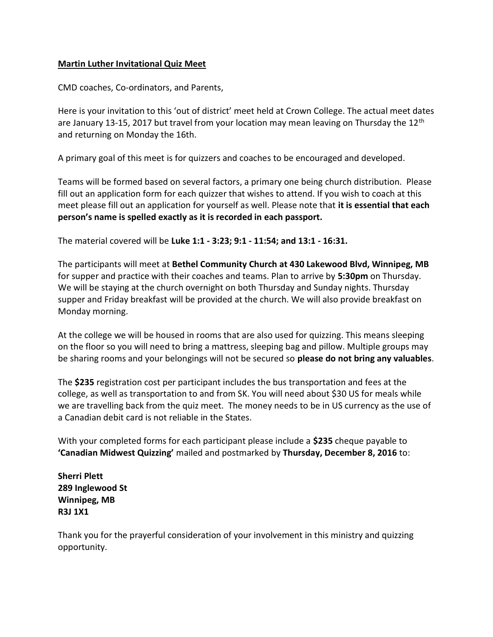## Martin Luther Invitational Quiz Meet

CMD coaches, Co-ordinators, and Parents,

Here is your invitation to this 'out of district' meet held at Crown College. The actual meet dates are January 13-15, 2017 but travel from your location may mean leaving on Thursday the 12<sup>th</sup> and returning on Monday the 16th.

A primary goal of this meet is for quizzers and coaches to be encouraged and developed.

Teams will be formed based on several factors, a primary one being church distribution. Please fill out an application form for each quizzer that wishes to attend. If you wish to coach at this meet please fill out an application for yourself as well. Please note that it is essential that each person's name is spelled exactly as it is recorded in each passport.

The material covered will be Luke 1:1 - 3:23; 9:1 - 11:54; and 13:1 - 16:31.

The participants will meet at Bethel Community Church at 430 Lakewood Blvd, Winnipeg, MB for supper and practice with their coaches and teams. Plan to arrive by 5:30pm on Thursday. We will be staying at the church overnight on both Thursday and Sunday nights. Thursday supper and Friday breakfast will be provided at the church. We will also provide breakfast on Monday morning.

At the college we will be housed in rooms that are also used for quizzing. This means sleeping on the floor so you will need to bring a mattress, sleeping bag and pillow. Multiple groups may be sharing rooms and your belongings will not be secured so please do not bring any valuables.

The \$235 registration cost per participant includes the bus transportation and fees at the college, as well as transportation to and from SK. You will need about \$30 US for meals while we are travelling back from the quiz meet. The money needs to be in US currency as the use of a Canadian debit card is not reliable in the States.

With your completed forms for each participant please include a \$235 cheque payable to 'Canadian Midwest Quizzing' mailed and postmarked by Thursday, December 8, 2016 to:

Sherri Plett 289 Inglewood St Winnipeg, MB R3J 1X1

Thank you for the prayerful consideration of your involvement in this ministry and quizzing opportunity.